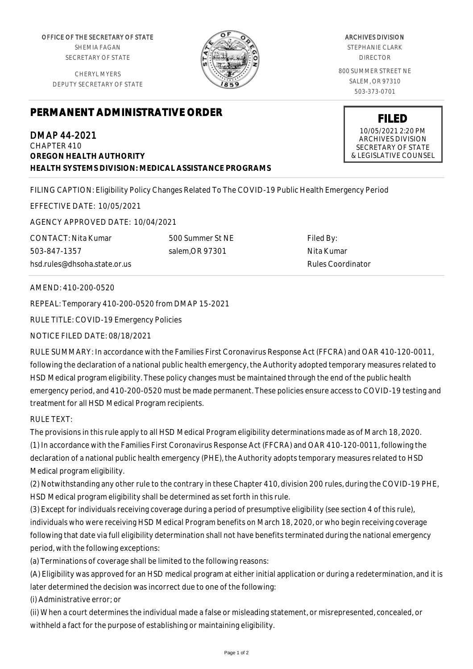OFFICE OF THE SECRETARY OF STATE SHEMIA FAGAN SECRETARY OF STATE

CHERYL MYERS DEPUTY SECRETARY OF STATE



ARCHIVES DIVISION STEPHANIE CLARK DIRECTOR 800 SUMMER STREET NE SALEM, OR 97310 503-373-0701

## **PERMANENT ADMINISTRATIVE ORDER**

DMAP 44-2021 CHAPTER 410 **OREGON HEALTH AUTHORITY HEALTH SYSTEMS DIVISION: MEDICAL ASSISTANCE PROGRAMS** **FILED**

10/05/2021 2:20 PM ARCHIVES DIVISION SECRETARY OF STATE & LEGISLATIVE COUNSEL

FILING CAPTION: Eligibility Policy Changes Related To The COVID-19 Public Health Emergency Period

EFFECTIVE DATE: 10/05/2021

AGENCY APPROVED DATE: 10/04/2021

CONTACT: Nita Kumar 503-847-1357 hsd.rules@dhsoha.state.or.us 500 Summer St NE salem,OR 97301

Filed By: Nita Kumar Rules Coordinator

## AMEND: 410-200-0520

REPEAL: Temporary 410-200-0520 from DMAP 15-2021

RULE TITLE: COVID-19 Emergency Policies

## NOTICE FILED DATE: 08/18/2021

RULE SUMMARY: In accordance with the Families First Coronavirus Response Act (FFCRA) and OAR 410-120-0011, following the declaration of a national public health emergency, the Authority adopted temporary measures related to HSD Medical program eligibility. These policy changes must be maintained through the end of the public health emergency period, and 410-200-0520 must be made permanent. These policies ensure access to COVID-19 testing and treatment for all HSD Medical Program recipients.

## RULE TEXT:

The provisions in this rule apply to all HSD Medical Program eligibility determinations made as of March 18, 2020. (1) In accordance with the Families First Coronavirus Response Act (FFCRA) and OAR 410-120-0011, following the declaration of a national public health emergency (PHE), the Authority adopts temporary measures related to HSD Medical program eligibility.

(2) Notwithstanding any other rule to the contrary in these Chapter 410, division 200 rules, during the COVID-19 PHE, HSD Medical program eligibility shall be determined as set forth in this rule.

(3) Except for individuals receiving coverage during a period of presumptive eligibility (see section 4 of this rule), individuals who were receiving HSD Medical Program benefits on March 18, 2020, or who begin receiving coverage following that date via full eligibility determination shall not have benefits terminated during the national emergency period, with the following exceptions:

(a) Terminations of coverage shall be limited to the following reasons:

(A) Eligibility was approved for an HSD medical program at either initial application or during a redetermination, and it is later determined the decision was incorrect due to one of the following:

(i) Administrative error; or

(ii) When a court determines the individual made a false or misleading statement, or misrepresented, concealed, or withheld a fact for the purpose of establishing or maintaining eligibility.